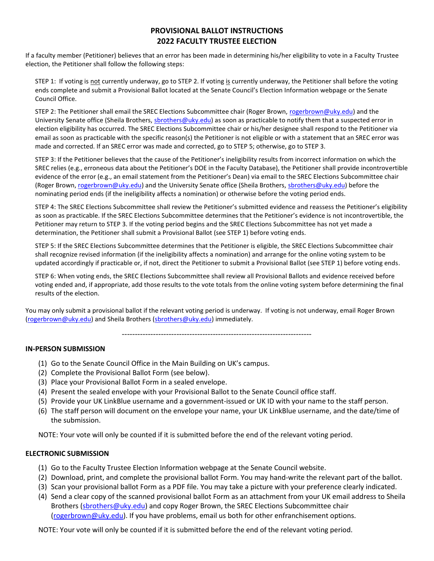# **PROVISIONAL BALLOT INSTRUCTIONS 2022 FACULTY TRUSTEE ELECTION**

If a faculty member (Petitioner) believes that an error has been made in determining his/her eligibility to vote in a Faculty Trustee election, the Petitioner shall follow the following steps:

STEP 1: If voting is not currently underway, go to STEP 2. If voting is currently underway, the Petitioner shall before the voting ends complete and submit a Provisional Ballot located at the Senate Council's Election Information webpage or the Senate Council Office.

STEP 2: The Petitioner shall email the SREC Elections Subcommittee chair (Roger Brown, [rogerbrown@uky.edu\)](mailto:rogerbrown@uky.edu) and the University Senate office (Sheila Brothers[, sbrothers@uky.edu\)](mailto:sbrothers@uky.edu) as soon as practicable to notify them that a suspected error in election eligibility has occurred. The SREC Elections Subcommittee chair or his/her designee shall respond to the Petitioner via email as soon as practicable with the specific reason(s) the Petitioner is not eligible or with a statement that an SREC error was made and corrected. If an SREC error was made and corrected, go to STEP 5; otherwise, go to STEP 3.

STEP 3: If the Petitioner believes that the cause of the Petitioner's ineligibility results from incorrect information on which the SREC relies (e.g., erroneous data about the Petitioner's DOE in the Faculty Database), the Petitioner shall provide incontrovertible evidence of the error (e.g., an email statement from the Petitioner's Dean) via email to the SREC Elections Subcommittee chair (Roger Brown, [rogerbrown@uky.edu\)](mailto:rogerbrown@uky.edu) and the University Senate office (Sheila Brothers[, sbrothers@uky.edu\)](mailto:sbrothers@uky.edu) before the nominating period ends (if the ineligibility affects a nomination) or otherwise before the voting period ends.

STEP 4: The SREC Elections Subcommittee shall review the Petitioner's submitted evidence and reassess the Petitioner's eligibility as soon as practicable. If the SREC Elections Subcommittee determines that the Petitioner's evidence is not incontrovertible, the Petitioner may return to STEP 3. If the voting period begins and the SREC Elections Subcommittee has not yet made a determination, the Petitioner shall submit a Provisional Ballot (see STEP 1) before voting ends.

STEP 5: If the SREC Elections Subcommittee determines that the Petitioner is eligible, the SREC Elections Subcommittee chair shall recognize revised information (if the ineligibility affects a nomination) and arrange for the online voting system to be updated accordingly if practicable or, if not, direct the Petitioner to submit a Provisional Ballot (see STEP 1) before voting ends.

STEP 6: When voting ends, the SREC Elections Subcommittee shall review all Provisional Ballots and evidence received before voting ended and, if appropriate, add those results to the vote totals from the online voting system before determining the final results of the election.

You may only submit a provisional ballot if the relevant voting period is underway. If voting is not underway, email Roger Brown [\(rogerbrown@uky.edu\)](mailto:rogerbrown@uky.edu) and Sheila Brothers [\(sbrothers@uky.edu\)](mailto:sbrothers@uky.edu) immediately.

-------------------------------------------------------------------------

#### **IN-PERSON SUBMISSION**

- (1) Go to the Senate Council Office in the Main Building on UK's campus.
- (2) Complete the Provisional Ballot Form (see below).
- (3) Place your Provisional Ballot Form in a sealed envelope.
- (4) Present the sealed envelope with your Provisional Ballot to the Senate Council office staff.
- (5) Provide your UK LinkBlue username and a government-issued or UK ID with your name to the staff person.
- (6) The staff person will document on the envelope your name, your UK LinkBlue username, and the date/time of the submission.

NOTE: Your vote will only be counted if it is submitted before the end of the relevant voting period.

### **ELECTRONIC SUBMISSION**

- (1) Go to the Faculty Trustee Election Information webpage at the Senate Council website.
- (2) Download, print, and complete the provisional ballot Form. You may hand-write the relevant part of the ballot.
- (3) Scan your provisional ballot Form as a PDF file. You may take a picture with your preference clearly indicated.
- (4) Send a clear copy of the scanned provisional ballot Form as an attachment from your UK email address to Sheila Brothers [\(sbrothers@uky.edu\)](mailto:sbrothers@uky.edu) and copy Roger Brown, the SREC Elections Subcommittee chair [\(rogerbrown@uky.edu\)](mailto:rogerbrown@uky.edu). If you have problems, email us both for other enfranchisement options.

NOTE: Your vote will only be counted if it is submitted before the end of the relevant voting period.